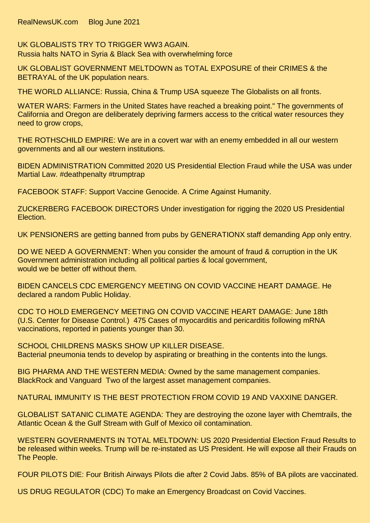RealNewsUK.com Blog June 2021

UK GLOBALISTS TRY TO TRIGGER WW3 AGAIN. Russia halts NATO in Syria & Black Sea with overwhelming force

UK GLOBALIST GOVERNMENT MELTDOWN as TOTAL EXPOSURE of their CRIMES & the BETRAYAL of the UK population nears.

THE WORLD ALLIANCE: Russia, China & Trump USA squeeze The Globalists on all fronts.

WATER WARS: Farmers in the United States have reached a breaking point." The governments of California and Oregon are deliberately depriving farmers access to the critical water resources they need to grow crops,

THE ROTHSCHILD EMPIRE: We are in a covert war with an enemy embedded in all our western governments and all our western institutions.

BIDEN ADMINISTRATION Committed 2020 US Presidential Election Fraud while the USA was under Martial Law. #deathpenalty #trumptrap

FACEBOOK STAFF: Support Vaccine Genocide. A Crime Against Humanity.

ZUCKERBERG FACEBOOK DIRECTORS Under investigation for rigging the 2020 US Presidential Election.

UK PENSIONERS are getting banned from pubs by GENERATIONX staff demanding App only entry.

DO WE NEED A GOVERNMENT: When you consider the amount of fraud & corruption in the UK Government administration including all political parties & local government, would we be better off without them.

BIDEN CANCELS CDC EMERGENCY MEETING ON COVID VACCINE HEART DAMAGE. He declared a random Public Holiday.

CDC TO HOLD EMERGENCY MEETING ON COVID VACCINE HEART DAMAGE: June 18th (U.S. Center for Disease Control.) 475 Cases of myocarditis and pericarditis following mRNA vaccinations, reported in patients younger than 30.

SCHOOL CHILDRENS MASKS SHOW UP KILLER DISEASE. Bacterial pneumonia tends to develop by aspirating or breathing in the contents into the lungs.

BIG PHARMA AND THE WESTERN MEDIA: Owned by the same management companies. BlackRock and Vanguard Two of the largest asset management companies.

NATURAL IMMUNITY IS THE BEST PROTECTION FROM COVID 19 AND VAXXINE DANGER.

GLOBALIST SATANIC CLIMATE AGENDA: They are destroying the ozone layer with Chemtrails, the Atlantic Ocean & the Gulf Stream with Gulf of Mexico oil contamination.

WESTERN GOVERNMENTS IN TOTAL MELTDOWN: US 2020 Presidential Election Fraud Results to be released within weeks. Trump will be re-instated as US President. He will expose all their Frauds on The People.

FOUR PILOTS DIE: Four British Airways Pilots die after 2 Covid Jabs. 85% of BA pilots are vaccinated.

US DRUG REGULATOR (CDC) To make an Emergency Broadcast on Covid Vaccines.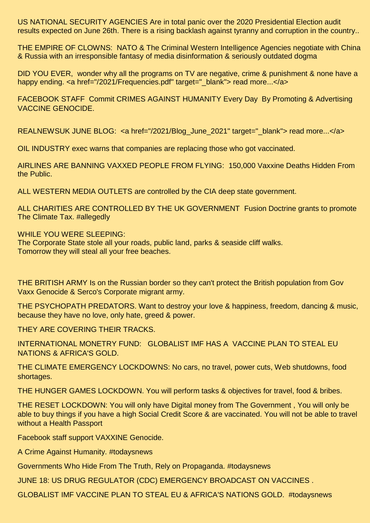US NATIONAL SECURITY AGENCIES Are in total panic over the 2020 Presidential Election audit results expected on June 26th. There is a rising backlash against tyranny and corruption in the country..

THE EMPIRE OF CLOWNS: NATO & The Criminal Western Intelligence Agencies negotiate with China & Russia with an irresponsible fantasy of media disinformation & seriously outdated dogma

DID YOU EVER, wonder why all the programs on TV are negative, crime & punishment & none have a happy ending. < a href="/2021/Frequencies.pdf" target="\_blank"> read more...</a>

FACEBOOK STAFF Commit CRIMES AGAINST HUMANITY Every Day By Promoting & Advertising VACCINE GENOCIDE.

REALNEWSUK JUNE BLOG: < a href="/2021/Blog\_June\_2021" target="\_blank"> read more...</a>

OIL INDUSTRY exec warns that companies are replacing those who got vaccinated.

AIRLINES ARE BANNING VAXXED PEOPLE FROM FLYING: 150,000 Vaxxine Deaths Hidden From the Public.

ALL WESTERN MEDIA OUTLETS are controlled by the CIA deep state government.

ALL CHARITIES ARE CONTROLLED BY THE UK GOVERNMENT Fusion Doctrine grants to promote The Climate Tax. #allegedly

WHILE YOU WERE SLEEPING:

The Corporate State stole all your roads, public land, parks & seaside cliff walks. Tomorrow they will steal all your free beaches.

THE BRITISH ARMY Is on the Russian border so they can't protect the British population from Gov Vaxx Genocide & Serco's Corporate migrant army.

THE PSYCHOPATH PREDATORS. Want to destroy your love & happiness, freedom, dancing & music, because they have no love, only hate, greed & power.

THEY ARE COVERING THEIR TRACKS.

INTERNATIONAL MONETRY FUND: GLOBALIST IMF HAS A VACCINE PLAN TO STEAL EU NATIONS & AFRICA'S GOLD.

THE CLIMATE EMERGENCY LOCKDOWNS: No cars, no travel, power cuts, Web shutdowns, food shortages.

THE HUNGER GAMES LOCKDOWN. You will perform tasks & objectives for travel, food & bribes.

THE RESET LOCKDOWN: You will only have Digital money from The Government , You will only be able to buy things if you have a high Social Credit Score & are vaccinated. You will not be able to travel without a Health Passport

Facebook staff support VAXXINE Genocide.

A Crime Against Humanity. #todaysnews

Governments Who Hide From The Truth, Rely on Propaganda. #todaysnews

JUNE 18: US DRUG REGULATOR (CDC) EMERGENCY BROADCAST ON VACCINES .

GLOBALIST IMF VACCINE PLAN TO STEAL EU & AFRICA'S NATIONS GOLD. #todaysnews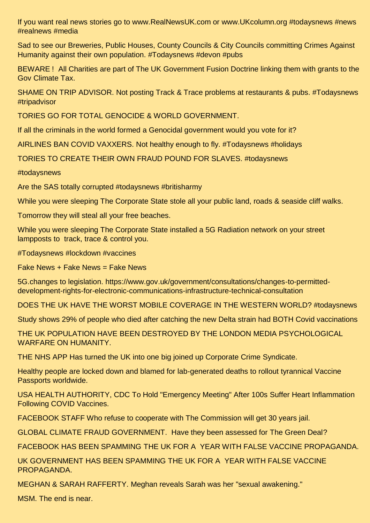If you want real news stories go to www.RealNewsUK.com or www.UKcolumn.org #todaysnews #news #realnews #media

Sad to see our Breweries, Public Houses, County Councils & City Councils committing Crimes Against Humanity against their own population. #Todaysnews #devon #pubs

BEWARE ! All Charities are part of The UK Government Fusion Doctrine linking them with grants to the Gov Climate Tax.

SHAME ON TRIP ADVISOR. Not posting Track & Trace problems at restaurants & pubs. #Todaysnews #tripadvisor

TORIES GO FOR TOTAL GENOCIDE & WORLD GOVERNMENT.

If all the criminals in the world formed a Genocidal government would you vote for it?

AIRLINES BAN COVID VAXXERS. Not healthy enough to fly. #Todaysnews #holidays

TORIES TO CREATE THEIR OWN FRAUD POUND FOR SLAVES. #todaysnews

#todaysnews

Are the SAS totally corrupted #todaysnews #britisharmy

While you were sleeping The Corporate State stole all your public land, roads & seaside cliff walks.

Tomorrow they will steal all your free beaches.

While you were sleeping The Corporate State installed a 5G Radiation network on your street lampposts to track, trace & control you.

#Todaysnews #lockdown #vaccines

Fake News + Fake News = Fake News

5G.changes to legislation. https://www.gov.uk/government/consultations/changes-to-permitteddevelopment-rights-for-electronic-communications-infrastructure-technical-consultation

DOES THE UK HAVE THE WORST MOBILE COVERAGE IN THE WESTERN WORLD? #todaysnews

Study shows 29% of people who died after catching the new Delta strain had BOTH Covid vaccinations

THE UK POPULATION HAVE BEEN DESTROYED BY THE LONDON MEDIA PSYCHOLOGICAL WARFARE ON HUMANITY.

THE NHS APP Has turned the UK into one big joined up Corporate Crime Syndicate.

Healthy people are locked down and blamed for lab-generated deaths to rollout tyrannical Vaccine Passports worldwide.

USA HEALTH AUTHORITY, CDC To Hold "Emergency Meeting" After 100s Suffer Heart Inflammation Following COVID Vaccines.

FACEBOOK STAFF Who refuse to cooperate with The Commission will get 30 years jail.

GLOBAL CLIMATE FRAUD GOVERNMENT. Have they been assessed for The Green Deal?

FACEBOOK HAS BEEN SPAMMING THE UK FOR A YEAR WITH FALSE VACCINE PROPAGANDA.

UK GOVERNMENT HAS BEEN SPAMMING THE UK FOR A YEAR WITH FALSE VACCINE PROPAGANDA.

MEGHAN & SARAH RAFFERTY. Meghan reveals Sarah was her "sexual awakening."

MSM. The end is near.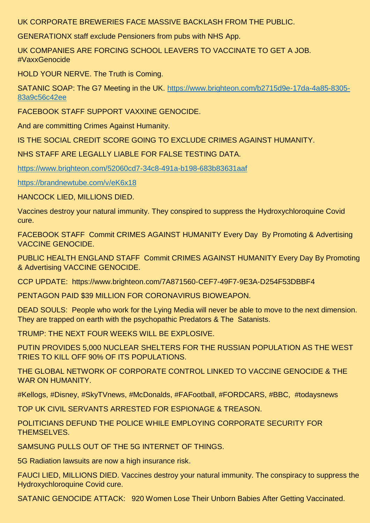UK CORPORATE BREWERIES FACE MASSIVE BACKLASH FROM THE PUBLIC.

GENERATIONX staff exclude Pensioners from pubs with NHS App.

UK COMPANIES ARE FORCING SCHOOL LEAVERS TO VACCINATE TO GET A JOB. #VaxxGenocide

HOLD YOUR NERVE. The Truth is Coming.

SATANIC SOAP: The G7 Meeting in the UK. [https://www.brighteon.com/b2715d9e-17da-4a85-8305-](https://www.brighteon.com/b2715d9e-17da-4a85-8305-83a9c56c42ee) [83a9c56c42ee](https://www.brighteon.com/b2715d9e-17da-4a85-8305-83a9c56c42ee)

FACEBOOK STAFF SUPPORT VAXXINE GENOCIDE.

And are committing Crimes Against Humanity.

IS THE SOCIAL CREDIT SCORE GOING TO EXCLUDE CRIMES AGAINST HUMANITY.

NHS STAFF ARE LEGALLY LIABLE FOR FALSE TESTING DATA.

<https://www.brighteon.com/52060cd7-34c8-491a-b198-683b83631aaf>

<https://brandnewtube.com/v/eK6x18>

HANCOCK LIED, MILLIONS DIED.

Vaccines destroy your natural immunity. They conspired to suppress the Hydroxychloroquine Covid cure.

FACEBOOK STAFF Commit CRIMES AGAINST HUMANITY Every Day By Promoting & Advertising VACCINE GENOCIDE.

PUBLIC HEALTH ENGLAND STAFF Commit CRIMES AGAINST HUMANITY Every Day By Promoting & Advertising VACCINE GENOCIDE.

CCP UPDATE: https://www.brighteon.com/7A871560-CEF7-49F7-9E3A-D254F53DBBF4

PENTAGON PAID \$39 MILLION FOR CORONAVIRUS BIOWEAPON.

DEAD SOULS: People who work for the Lying Media will never be able to move to the next dimension. They are trapped on earth with the psychopathic Predators & The Satanists.

TRUMP: THE NEXT FOUR WEEKS WILL BE EXPLOSIVE.

PUTIN PROVIDES 5,000 NUCLEAR SHELTERS FOR THE RUSSIAN POPULATION AS THE WEST TRIES TO KILL OFF 90% OF ITS POPULATIONS.

THE GLOBAL NETWORK OF CORPORATE CONTROL LINKED TO VACCINE GENOCIDE & THE WAR ON HUMANITY.

#Kellogs, #Disney, #SkyTVnews, #McDonalds, #FAFootball, #FORDCARS, #BBC, #todaysnews

TOP UK CIVIL SERVANTS ARRESTED FOR ESPIONAGE & TREASON.

POLITICIANS DEFUND THE POLICE WHILE EMPLOYING CORPORATE SECURITY FOR THEMSELVES.

SAMSUNG PULLS OUT OF THE 5G INTERNET OF THINGS.

5G Radiation lawsuits are now a high insurance risk.

FAUCI LIED, MILLIONS DIED. Vaccines destroy your natural immunity. The conspiracy to suppress the Hydroxychloroquine Covid cure.

SATANIC GENOCIDE ATTACK: 920 Women Lose Their Unborn Babies After Getting Vaccinated.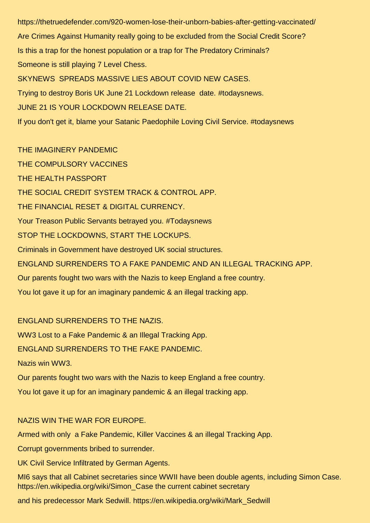https://thetruedefender.com/920-women-lose-their-unborn-babies-after-getting-vaccinated/ Are Crimes Against Humanity really going to be excluded from the Social Credit Score? Is this a trap for the honest population or a trap for The Predatory Criminals? Someone is still playing 7 Level Chess. SKYNEWS SPREADS MASSIVE LIES ABOUT COVID NEW CASES. Trying to destroy Boris UK June 21 Lockdown release date. #todaysnews. JUNE 21 IS YOUR LOCKDOWN RELEASE DATE. If you don't get it, blame your Satanic Paedophile Loving Civil Service. #todaysnews

THE IMAGINERY PANDEMIC THE COMPULSORY VACCINES THE HEALTH PASSPORT THE SOCIAL CREDIT SYSTEM TRACK & CONTROL APP. THE FINANCIAL RESET & DIGITAL CURRENCY. Your Treason Public Servants betrayed you. #Todaysnews STOP THE LOCKDOWNS, START THE LOCKUPS. Criminals in Government have destroyed UK social structures. ENGLAND SURRENDERS TO A FAKE PANDEMIC AND AN ILLEGAL TRACKING APP. Our parents fought two wars with the Nazis to keep England a free country. You lot gave it up for an imaginary pandemic & an illegal tracking app.

## ENGLAND SURRENDERS TO THE NAZIS.

WW3 Lost to a Fake Pandemic & an Illegal Tracking App.

ENGLAND SURRENDERS TO THE FAKE PANDEMIC.

Nazis win WW3.

Our parents fought two wars with the Nazis to keep England a free country.

You lot gave it up for an imaginary pandemic & an illegal tracking app.

## NAZIS WIN THE WAR FOR EUROPE.

Armed with only a Fake Pandemic, Killer Vaccines & an illegal Tracking App.

Corrupt governments bribed to surrender.

UK Civil Service Infiltrated by German Agents.

MI6 says that all Cabinet secretaries since WWII have been double agents, including Simon Case. https://en.wikipedia.org/wiki/Simon\_Case the current cabinet secretary

and his predecessor Mark Sedwill. https://en.wikipedia.org/wiki/Mark\_Sedwill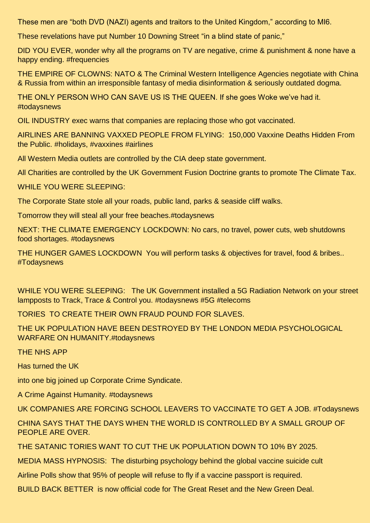These men are "both DVD (NAZI) agents and traitors to the United Kingdom," according to MI6.

These revelations have put Number 10 Downing Street "in a blind state of panic,"

DID YOU EVER, wonder why all the programs on TV are negative, crime & punishment & none have a happy ending. #frequencies

THE EMPIRE OF CLOWNS: NATO & The Criminal Western Intelligence Agencies negotiate with China & Russia from within an irresponsible fantasy of media disinformation & seriously outdated dogma.

THE ONLY PERSON WHO CAN SAVE US IS THE QUEEN. If she goes Woke we've had it. #todaysnews

OIL INDUSTRY exec warns that companies are replacing those who got vaccinated.

AIRLINES ARE BANNING VAXXED PEOPLE FROM FLYING: 150,000 Vaxxine Deaths Hidden From the Public. #holidays, #vaxxines #airlines

All Western Media outlets are controlled by the CIA deep state government.

All Charities are controlled by the UK Government Fusion Doctrine grants to promote The Climate Tax.

WHILE YOU WERE SLEEPING:

The Corporate State stole all your roads, public land, parks & seaside cliff walks.

Tomorrow they will steal all your free beaches.#todaysnews

NEXT: THE CLIMATE EMERGENCY LOCKDOWN: No cars, no travel, power cuts, web shutdowns food shortages. #todaysnews

THE HUNGER GAMES LOCKDOWN You will perform tasks & objectives for travel, food & bribes.. #Todaysnews

WHILE YOU WERE SLEEPING: The UK Government installed a 5G Radiation Network on your street lampposts to Track, Trace & Control you. #todaysnews #5G #telecoms

TORIES TO CREATE THEIR OWN FRAUD POUND FOR SLAVES.

THE UK POPULATION HAVE BEEN DESTROYED BY THE LONDON MEDIA PSYCHOLOGICAL WARFARE ON HUMANITY.#todaysnews

THE NHS APP

Has turned the UK

into one big joined up Corporate Crime Syndicate.

A Crime Against Humanity. #todaysnews

UK COMPANIES ARE FORCING SCHOOL LEAVERS TO VACCINATE TO GET A JOB. #Todaysnews

CHINA SAYS THAT THE DAYS WHEN THE WORLD IS CONTROLLED BY A SMALL GROUP OF PEOPLE ARE OVER.

THE SATANIC TORIES WANT TO CUT THE UK POPULATION DOWN TO 10% BY 2025.

MEDIA MASS HYPNOSIS: The disturbing psychology behind the global vaccine suicide cult

Airline Polls show that 95% of people will refuse to fly if a vaccine passport is required.

BUILD BACK BETTER is now official code for The Great Reset and the New Green Deal.